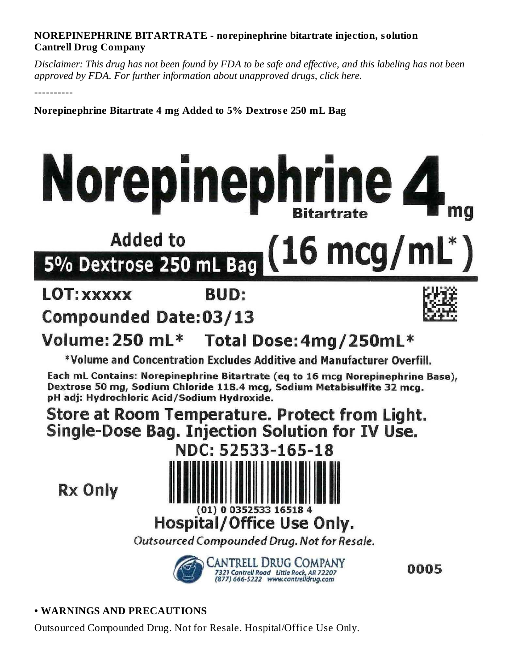#### **NOREPINEPHRINE BITARTRATE - norepinephrine bitartrate injection, solution Cantrell Drug Company**

Disclaimer: This drug has not been found by FDA to be safe and effective, and this labeling has not been *approved by FDA. For further information about unapproved drugs, click here.*

----------

**Norepinephrine Bitartrate 4 mg Added to 5% Dextros e 250 mL Bag**

# Norepinephrine 4

### **Added to**  $16 \text{ mcq/mL}^*$ 5% Dextrose 250 mL Bag

## **LOT: XXXXX**

# **BUD:**

## **Compounded Date:03/13**



#### Volume: 250 mL\* Total Dose: 4mg/250mL\*

\*Volume and Concentration Excludes Additive and Manufacturer Overfill.

Each mL Contains: Norepinephrine Bitartrate (eq to 16 mcg Norepinephrine Base), Dextrose 50 mg, Sodium Chloride 118.4 mcg, Sodium Metabisulfite 32 mcg. pH adj: Hydrochloric Acid/Sodium Hydroxide.

## Store at Room Temperature. Protect from Light. Single-Dose Bag. Injection Solution for IV Use.

**Rx Only** 



## Hospital/Office Use Only.

Outsourced Compounded Drug. Not for Resale.



0005

**• WARNINGS AND PRECAUTIONS**

Outsourced Compounded Drug. Not for Resale. Hospital/Office Use Only.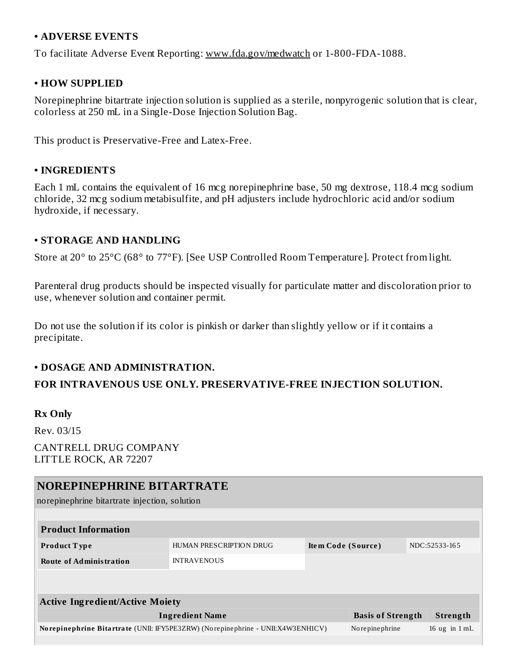#### **• ADVERSE EVENTS**

To facilitate Adverse Event Reporting: www.fda.gov/medwatch or 1-800-FDA-1088.

#### **• HOW SUPPLIED**

Norepinephrine bitartrate injection solution is supplied as a sterile, nonpyrogenic solution that is clear, colorless at 250 mL in a Single-Dose Injection Solution Bag.

This product is Preservative-Free and Latex-Free.

#### **• INGREDIENTS**

Each 1 mL contains the equivalent of 16 mcg norepinephrine base, 50 mg dextrose, 118.4 mcg sodium chloride, 32 mcg sodium metabisulfite, and pH adjusters include hydrochloric acid and/or sodium hydroxide, if necessary.

#### **• STORAGE AND HANDLING**

Store at 20° to 25°C (68° to 77°F). [See USP Controlled Room Temperature]. Protect from light.

Parenteral drug products should be inspected visually for particulate matter and discoloration prior to use, whenever solution and container permit.

Do not use the solution if its color is pinkish or darker than slightly yellow or if it contains a precipitate.

#### **• DOSAGE AND ADMINISTRATION.**

#### **FOR INTRAVENOUS USE ONLY. PRESERVATIVE-FREE INJECTION SOLUTION.**

#### **Rx Only**

Rev. 03/15

CANTRELL DRUG COMPANY LITTLE ROCK, AR 72207

#### **NOREPINEPHRINE BITARTRATE**

norepinephrine bitartrate injection, solution

| <b>Product Information</b>     |                         |                    |               |  |  |  |  |
|--------------------------------|-------------------------|--------------------|---------------|--|--|--|--|
| <b>Product Type</b>            | HUMAN PRESCRIPTION DRUG | Item Code (Source) | NDC:52533-165 |  |  |  |  |
| <b>Route of Administration</b> | <b>INTRAVENOUS</b>      |                    |               |  |  |  |  |
|                                |                         |                    |               |  |  |  |  |

| <b>Active Ingredient/Active Moiety</b>                                          |                          |                 |  |  |  |  |  |  |
|---------------------------------------------------------------------------------|--------------------------|-----------------|--|--|--|--|--|--|
| Ingredient Name                                                                 | <b>Basis of Strength</b> | Strength        |  |  |  |  |  |  |
| Norepinephrine Bitartrate (UNII: IFY5PE3ZRW) (Norepinephrine - UNII:X4W3ENH1CV) | No repine phrine         | 16 ug in $1 mL$ |  |  |  |  |  |  |